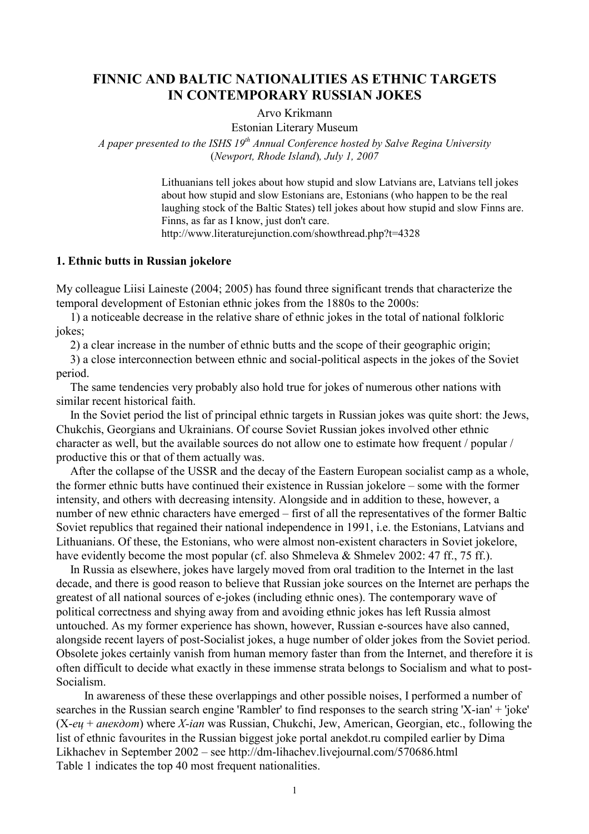# FINNIC AND BALTIC NATIONALITIES AS ETHNIC TARGETS IN CONTEMPORARY RUSSIAN JOKES

Arvo Krikmann

Estonian Literary Museum

A paper presented to the ISHS  $19<sup>th</sup>$  Annual Conference hosted by Salve Regina University (Newport, Rhode Island), July 1, 2007

> Lithuanians tell jokes about how stupid and slow Latvians are, Latvians tell jokes about how stupid and slow Estonians are, Estonians (who happen to be the real laughing stock of the Baltic States) tell jokes about how stupid and slow Finns are. Finns, as far as I know, just don't care. http://www.literaturejunction.com/showthread.php?t=4328

### 1. Ethnic butts in Russian jokelore

My colleague Liisi Laineste (2004; 2005) has found three significant trends that characterize the temporal development of Estonian ethnic jokes from the 1880s to the 2000s:

1) a noticeable decrease in the relative share of ethnic jokes in the total of national folkloric jokes;

2) a clear increase in the number of ethnic butts and the scope of their geographic origin;

3) a close interconnection between ethnic and social-political aspects in the jokes of the Soviet period.

The same tendencies very probably also hold true for jokes of numerous other nations with similar recent historical faith.

In the Soviet period the list of principal ethnic targets in Russian jokes was quite short: the Jews, Chukchis, Georgians and Ukrainians. Of course Soviet Russian jokes involved other ethnic character as well, but the available sources do not allow one to estimate how frequent / popular / productive this or that of them actually was.

After the collapse of the USSR and the decay of the Eastern European socialist camp as a whole, the former ethnic butts have continued their existence in Russian jokelore – some with the former intensity, and others with decreasing intensity. Alongside and in addition to these, however, a number of new ethnic characters have emerged – first of all the representatives of the former Baltic Soviet republics that regained their national independence in 1991, i.e. the Estonians, Latvians and Lithuanians. Of these, the Estonians, who were almost non-existent characters in Soviet jokelore, have evidently become the most popular (cf. also Shmeleva & Shmelev 2002: 47 ff., 75 ff.).

In Russia as elsewhere, jokes have largely moved from oral tradition to the Internet in the last decade, and there is good reason to believe that Russian joke sources on the Internet are perhaps the greatest of all national sources of e-jokes (including ethnic ones). The contemporary wave of political correctness and shying away from and avoiding ethnic jokes has left Russia almost untouched. As my former experience has shown, however, Russian e-sources have also canned, alongside recent layers of post-Socialist jokes, a huge number of older jokes from the Soviet period. Obsolete jokes certainly vanish from human memory faster than from the Internet, and therefore it is often difficult to decide what exactly in these immense strata belongs to Socialism and what to post-Socialism.

In awareness of these these overlappings and other possible noises, I performed a number of searches in the Russian search engine 'Rambler' to find responses to the search string 'X-ian' + 'joke'  $(X-eu + a\mu e\kappa\partial o\eta)$  where X-ian was Russian, Chukchi, Jew, American, Georgian, etc., following the list of ethnic favourites in the Russian biggest joke portal anekdot.ru compiled earlier by Dima Likhachev in September 2002 – see http://dm-lihachev.livejournal.com/570686.html Table 1 indicates the top 40 most frequent nationalities.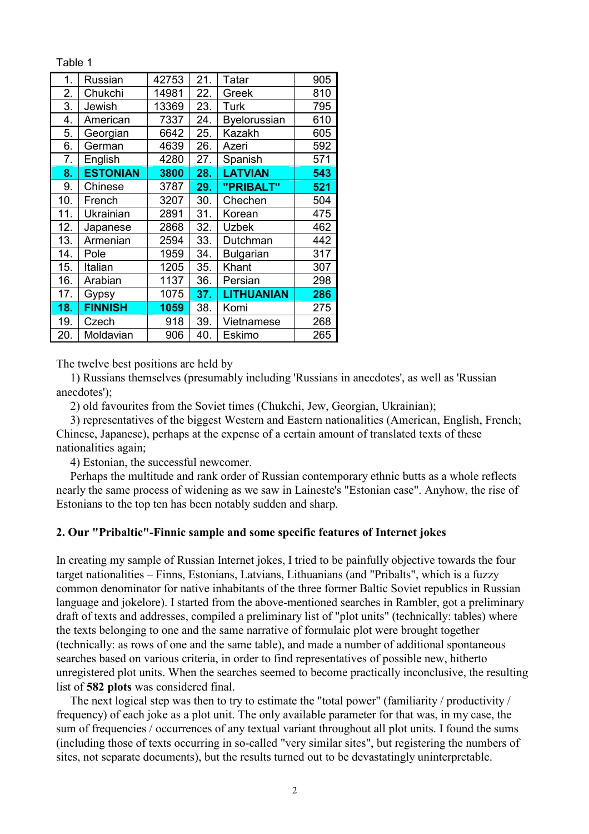Table 1

| 1.  | Russian         | 42753 | 21. | Tatar               | 905 |
|-----|-----------------|-------|-----|---------------------|-----|
| 2.  | Chukchi         | 14981 | 22. | Greek               | 810 |
| 3.  | Jewish          | 13369 | 23. | Turk                | 795 |
| 4.  | American        | 7337  | 24. | <b>Byelorussian</b> | 610 |
| 5.  | Georgian        | 6642  | 25. | Kazakh              | 605 |
| 6.  | German          | 4639  | 26. | Azeri               | 592 |
| 7.  | English         | 4280  | 27. | Spanish             | 571 |
| 8.  | <b>ESTONIAN</b> | 3800  | 28. | <b>LATVIAN</b>      | 543 |
| 9.  | Chinese         | 3787  | 29. | "PRIBALT"           | 521 |
| 10. | French          | 3207  | 30. | Chechen             | 504 |
| 11. | Ukrainian       | 2891  | 31. | Korean              | 475 |
| 12. | Japanese        | 2868  | 32. | <b>Uzbek</b>        | 462 |
| 13. | Armenian        | 2594  | 33. | Dutchman            | 442 |
| 14. | Pole            | 1959  | 34. | <b>Bulgarian</b>    | 317 |
| 15. | Italian         | 1205  | 35. | Khant               | 307 |
| 16. | Arabian         | 1137  | 36. | Persian             | 298 |
| 17. | Gypsy           | 1075  | 37. | <b>LITHUANIAN</b>   | 286 |
| 18. | <b>FINNISH</b>  | 1059  | 38. | Komi                | 275 |
| 19. | Czech           | 918   | 39. | Vietnamese          | 268 |
| 20. | Moldavian       | 906   | 40. | Eskimo              | 265 |

The twelve best positions are held by

1) Russians themselves (presumably including 'Russians in anecdotes', as well as 'Russian anecdotes');

2) old favourites from the Soviet times (Chukchi, Jew, Georgian, Ukrainian);

3) representatives of the biggest Western and Eastern nationalities (American, English, French; Chinese, Japanese), perhaps at the expense of a certain amount of translated texts of these nationalities again;

4) Estonian, the successful newcomer.

Perhaps the multitude and rank order of Russian contemporary ethnic butts as a whole reflects nearly the same process of widening as we saw in Laineste's "Estonian case". Anyhow, the rise of Estonians to the top ten has been notably sudden and sharp.

### 2. Our "Pribaltic"-Finnic sample and some specific features of Internet jokes

In creating my sample of Russian Internet jokes, I tried to be painfully objective towards the four target nationalities – Finns, Estonians, Latvians, Lithuanians (and "Pribalts", which is a fuzzy common denominator for native inhabitants of the three former Baltic Soviet republics in Russian language and jokelore). I started from the above-mentioned searches in Rambler, got a preliminary draft of texts and addresses, compiled a preliminary list of "plot units" (technically: tables) where the texts belonging to one and the same narrative of formulaic plot were brought together (technically: as rows of one and the same table), and made a number of additional spontaneous searches based on various criteria, in order to find representatives of possible new, hitherto unregistered plot units. When the searches seemed to become practically inconclusive, the resulting list of 582 plots was considered final.

The next logical step was then to try to estimate the "total power" (familiarity / productivity / frequency) of each joke as a plot unit. The only available parameter for that was, in my case, the sum of frequencies / occurrences of any textual variant throughout all plot units. I found the sums (including those of texts occurring in so-called "very similar sites", but registering the numbers of sites, not separate documents), but the results turned out to be devastatingly uninterpretable.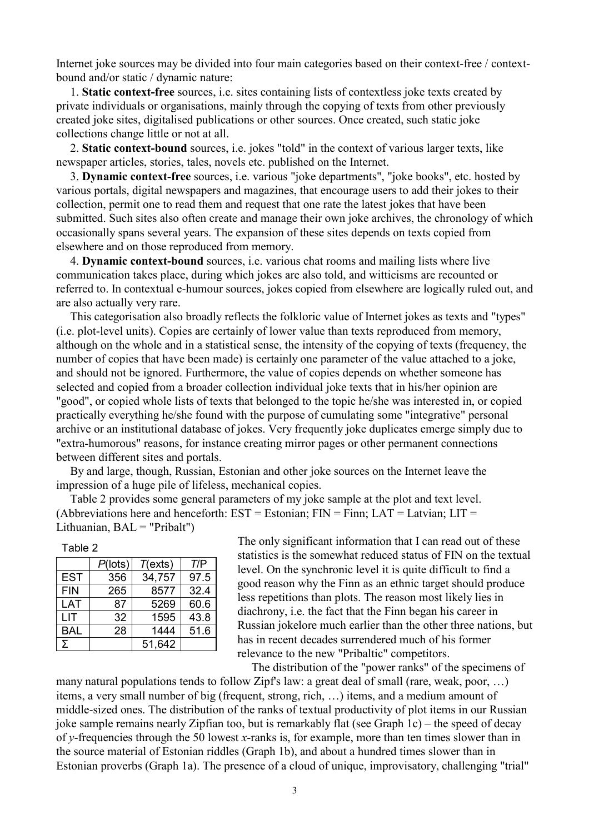Internet joke sources may be divided into four main categories based on their context-free / contextbound and/or static / dynamic nature:

1. Static context-free sources, i.e. sites containing lists of contextless joke texts created by private individuals or organisations, mainly through the copying of texts from other previously created joke sites, digitalised publications or other sources. Once created, such static joke collections change little or not at all.

2. Static context-bound sources, i.e. jokes "told" in the context of various larger texts, like newspaper articles, stories, tales, novels etc. published on the Internet.

3. Dynamic context-free sources, i.e. various "joke departments", "joke books", etc. hosted by various portals, digital newspapers and magazines, that encourage users to add their jokes to their collection, permit one to read them and request that one rate the latest jokes that have been submitted. Such sites also often create and manage their own joke archives, the chronology of which occasionally spans several years. The expansion of these sites depends on texts copied from elsewhere and on those reproduced from memory.

4. Dynamic context-bound sources, i.e. various chat rooms and mailing lists where live communication takes place, during which jokes are also told, and witticisms are recounted or referred to. In contextual e-humour sources, jokes copied from elsewhere are logically ruled out, and are also actually very rare.

This categorisation also broadly reflects the folkloric value of Internet jokes as texts and "types" (i.e. plot-level units). Copies are certainly of lower value than texts reproduced from memory, although on the whole and in a statistical sense, the intensity of the copying of texts (frequency, the number of copies that have been made) is certainly one parameter of the value attached to a joke, and should not be ignored. Furthermore, the value of copies depends on whether someone has selected and copied from a broader collection individual joke texts that in his/her opinion are "good", or copied whole lists of texts that belonged to the topic he/she was interested in, or copied practically everything he/she found with the purpose of cumulating some "integrative" personal archive or an institutional database of jokes. Very frequently joke duplicates emerge simply due to "extra-humorous" reasons, for instance creating mirror pages or other permanent connections between different sites and portals.

By and large, though, Russian, Estonian and other joke sources on the Internet leave the impression of a huge pile of lifeless, mechanical copies.

Table 2 provides some general parameters of my joke sample at the plot and text level. (Abbreviations here and henceforth:  $EST = Estonian$ ;  $FIN = Finn$ ;  $LAT = Latvian$ ;  $LIT =$ Lithuanian, BAL = "Pribalt")

| able |  |
|------|--|
|------|--|

|            | $P($ lots $)$ | T(exts) | T/P  |
|------------|---------------|---------|------|
| <b>EST</b> | 356           | 34,757  | 97.5 |
| <b>FIN</b> | 265           | 8577    | 32.4 |
| LAT        | 87            | 5269    | 60.6 |
| LIT        | 32            | 1595    | 43.8 |
| <b>BAL</b> | 28            | 1444    | 51.6 |
| Σ          |               | 51,642  |      |

The only significant information that I can read out of these statistics is the somewhat reduced status of FIN on the textual level. On the synchronic level it is quite difficult to find a good reason why the Finn as an ethnic target should produce less repetitions than plots. The reason most likely lies in diachrony, i.e. the fact that the Finn began his career in Russian jokelore much earlier than the other three nations, but has in recent decades surrendered much of his former relevance to the new "Pribaltic" competitors.

The distribution of the "power ranks" of the specimens of

many natural populations tends to follow Zipf's law: a great deal of small (rare, weak, poor, …) items, a very small number of big (frequent, strong, rich, …) items, and a medium amount of middle-sized ones. The distribution of the ranks of textual productivity of plot items in our Russian joke sample remains nearly Zipfian too, but is remarkably flat (see Graph 1c) – the speed of decay of y-frequencies through the 50 lowest x-ranks is, for example, more than ten times slower than in the source material of Estonian riddles (Graph 1b), and about a hundred times slower than in Estonian proverbs (Graph 1a). The presence of a cloud of unique, improvisatory, challenging "trial"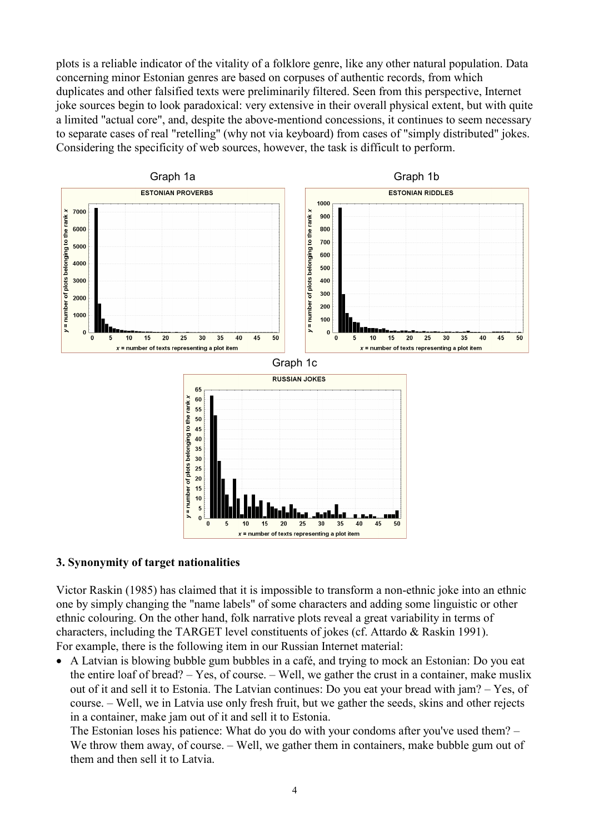plots is a reliable indicator of the vitality of a folklore genre, like any other natural population. Data concerning minor Estonian genres are based on corpuses of authentic records, from which duplicates and other falsified texts were preliminarily filtered. Seen from this perspective, Internet joke sources begin to look paradoxical: very extensive in their overall physical extent, but with quite a limited "actual core", and, despite the above-mentiond concessions, it continues to seem necessary to separate cases of real "retelling" (why not via keyboard) from cases of "simply distributed" jokes. Considering the specificity of web sources, however, the task is difficult to perform.



### 3. Synonymity of target nationalities

Victor Raskin (1985) has claimed that it is impossible to transform a non-ethnic joke into an ethnic one by simply changing the "name labels" of some characters and adding some linguistic or other ethnic colouring. On the other hand, folk narrative plots reveal a great variability in terms of characters, including the TARGET level constituents of jokes (cf. Attardo & Raskin 1991). For example, there is the following item in our Russian Internet material:

• A Latvian is blowing bubble gum bubbles in a café, and trying to mock an Estonian: Do you eat the entire loaf of bread? – Yes, of course. – Well, we gather the crust in a container, make muslix out of it and sell it to Estonia. The Latvian continues: Do you eat your bread with jam? – Yes, of course. – Well, we in Latvia use only fresh fruit, but we gather the seeds, skins and other rejects in a container, make jam out of it and sell it to Estonia.

The Estonian loses his patience: What do you do with your condoms after you've used them? – We throw them away, of course. – Well, we gather them in containers, make bubble gum out of them and then sell it to Latvia.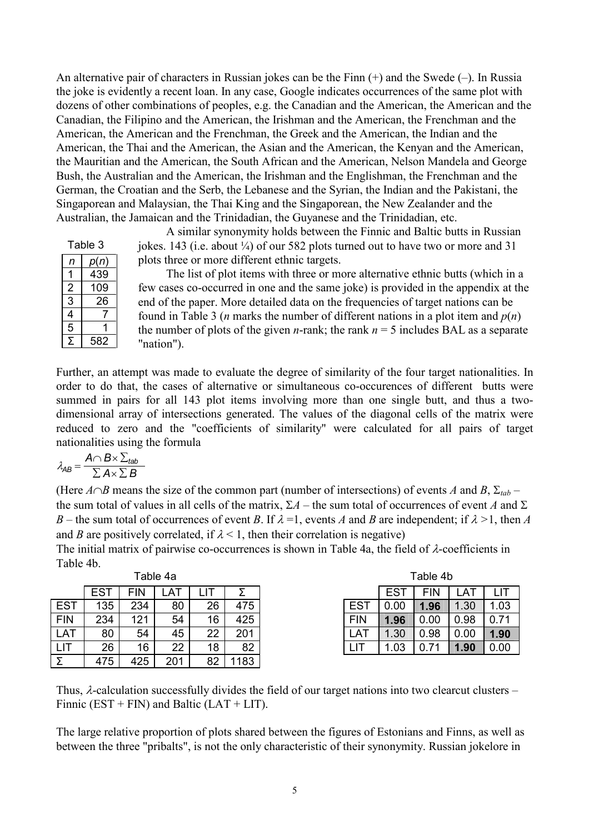An alternative pair of characters in Russian jokes can be the Finn (+) and the Swede (–). In Russia the joke is evidently a recent loan. In any case, Google indicates occurrences of the same plot with dozens of other combinations of peoples, e.g. the Canadian and the American, the American and the Canadian, the Filipino and the American, the Irishman and the American, the Frenchman and the American, the American and the Frenchman, the Greek and the American, the Indian and the American, the Thai and the American, the Asian and the American, the Kenyan and the American, the Mauritian and the American, the South African and the American, Nelson Mandela and George Bush, the Australian and the American, the Irishman and the Englishman, the Frenchman and the German, the Croatian and the Serb, the Lebanese and the Syrian, the Indian and the Pakistani, the Singaporean and Malaysian, the Thai King and the Singaporean, the New Zealander and the Australian, the Jamaican and the Trinidadian, the Guyanese and the Trinidadian, etc.

| Table 3        |      |  |  |  |  |
|----------------|------|--|--|--|--|
| n              | p(n) |  |  |  |  |
|                | 439  |  |  |  |  |
| $\overline{c}$ | 109  |  |  |  |  |
| 3              | 26   |  |  |  |  |
| 4              |      |  |  |  |  |
| 5              |      |  |  |  |  |
| 5              | 582  |  |  |  |  |

A similar synonymity holds between the Finnic and Baltic butts in Russian jokes. 143 (i.e. about  $\frac{1}{4}$ ) of our 582 plots turned out to have two or more and 31 plots three or more different ethnic targets.

The list of plot items with three or more alternative ethnic butts (which in a few cases co-occurred in one and the same joke) is provided in the appendix at the end of the paper. More detailed data on the frequencies of target nations can be found in Table 3 (*n* marks the number of different nations in a plot item and  $p(n)$ ) the number of plots of the given *n*-rank; the rank  $n = 5$  includes BAL as a separate "nation").

Further, an attempt was made to evaluate the degree of similarity of the four target nationalities. In order to do that, the cases of alternative or simultaneous co-occurences of different butts were summed in pairs for all 143 plot items involving more than one single butt, and thus a twodimensional array of intersections generated. The values of the diagonal cells of the matrix were reduced to zero and the "coefficients of similarity" were calculated for all pairs of target nationalities using the formula

$$
\lambda_{AB} = \frac{A \cap B \times \sum_{tab}}{\sum A \times \sum B}
$$

(Here  $A \cap B$  means the size of the common part (number of intersections) of events A and B,  $\Sigma_{tab}$  – the sum total of values in all cells of the matrix,  $\Sigma A$  – the sum total of occurrences of event A and  $\Sigma$ B – the sum total of occurrences of event B. If  $\lambda = 1$ , events A and B are independent; if  $\lambda > 1$ , then A and B are positively correlated, if  $\lambda$  < 1, then their correlation is negative)

The initial matrix of pairwise co-occurrences is shown in Table 4a, the field of  $\lambda$ -coefficients in Table 4b.

|            | Table 4a   |     |     |    |      |  |
|------------|------------|-----|-----|----|------|--|
|            | <b>EST</b> | FIN | AT  |    |      |  |
| <b>EST</b> | 135        | 234 | 80  | 26 | 475  |  |
| <b>FIN</b> | 234        | 121 | 54  | 16 | 425  |  |
| <b>LAT</b> | 80         | 54  | 45  | 22 | 201  |  |
| LIT        | 26         | 16  | 22  | 18 | 82   |  |
|            | 475        | 425 | 201 | 82 | 1183 |  |

Thus,  $\lambda$ -calculation successfully divides the field of our target nations into two clearcut clusters – Finnic (EST + FIN) and Baltic (LAT + LIT).

The large relative proportion of plots shared between the figures of Estonians and Finns, as well as between the three "pribalts", is not the only characteristic of their synonymity. Russian jokelore in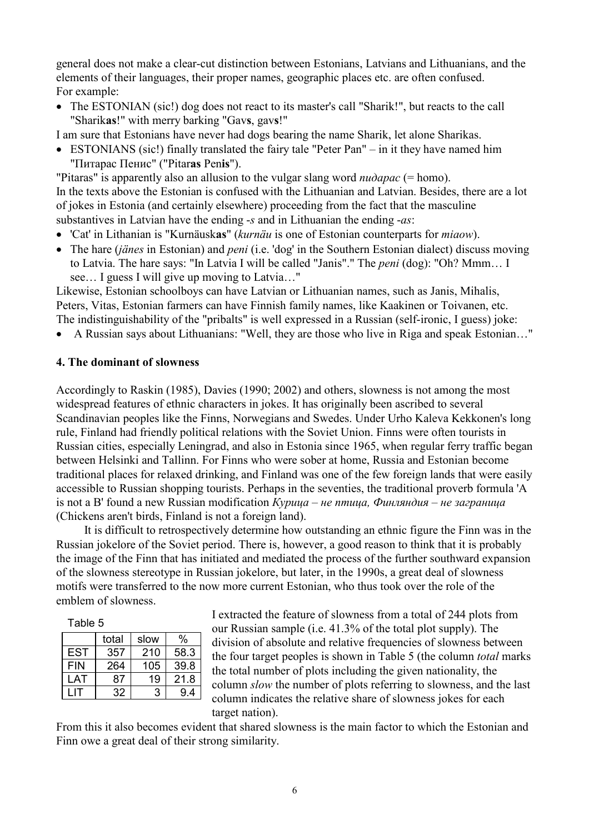general does not make a clear-cut distinction between Estonians, Latvians and Lithuanians, and the elements of their languages, their proper names, geographic places etc. are often confused. For example:

- The ESTONIAN (sic!) dog does not react to its master's call "Sharik!", but reacts to the call "Sharikas!" with merry barking "Gavs, gavs!"
- I am sure that Estonians have never had dogs bearing the name Sharik, let alone Sharikas.
- ESTONIANS (sic!) finally translated the fairy tale "Peter Pan" in it they have named him "Питарас Пенис" ("Pitaras Penis").

"Pitaras" is apparently also an allusion to the vulgar slang word  $nu\partial a\bar{p}a\bar{c}$  (= homo). In the texts above the Estonian is confused with the Lithuanian and Latvian. Besides, there are a lot of jokes in Estonia (and certainly elsewhere) proceeding from the fact that the masculine substantives in Latvian have the ending -s and in Lithuanian the ending -as:

- 'Cat' in Lithanian is "Kurnäuskas" (kurnäu is one of Estonian counterparts for *miaow*).
- The hare *(jänes* in Estonian) and *peni* (i.e. 'dog' in the Southern Estonian dialect) discuss moving to Latvia. The hare says: "In Latvia I will be called "Janis"." The peni (dog): "Oh? Mmm… I see… I guess I will give up moving to Latvia…"

Likewise, Estonian schoolboys can have Latvian or Lithuanian names, such as Janis, Mihalis, Peters, Vitas, Estonian farmers can have Finnish family names, like Kaakinen or Toivanen, etc. The indistinguishability of the "pribalts" is well expressed in a Russian (self-ironic, I guess) joke:

• A Russian says about Lithuanians: "Well, they are those who live in Riga and speak Estonian…"

### 4. The dominant of slowness

Accordingly to Raskin (1985), Davies (1990; 2002) and others, slowness is not among the most widespread features of ethnic characters in jokes. It has originally been ascribed to several Scandinavian peoples like the Finns, Norwegians and Swedes. Under Urho Kaleva Kekkonen's long rule, Finland had friendly political relations with the Soviet Union. Finns were often tourists in Russian cities, especially Leningrad, and also in Estonia since 1965, when regular ferry traffic began between Helsinki and Tallinn. For Finns who were sober at home, Russia and Estonian become traditional places for relaxed drinking, and Finland was one of the few foreign lands that were easily accessible to Russian shopping tourists. Perhaps in the seventies, the traditional proverb formula 'A is not a B' found a new Russian modification  $Kypuua - \mu e$  птица, Финляндия – не заграница (Chickens aren't birds, Finland is not a foreign land).

It is difficult to retrospectively determine how outstanding an ethnic figure the Finn was in the Russian jokelore of the Soviet period. There is, however, a good reason to think that it is probably the image of the Finn that has initiated and mediated the process of the further southward expansion of the slowness stereotype in Russian jokelore, but later, in the 1990s, a great deal of slowness motifs were transferred to the now more current Estonian, who thus took over the role of the emblem of slowness.

| r<br>ш<br>ے |  |
|-------------|--|
|-------------|--|

|            | total | slow | $\%$ |
|------------|-------|------|------|
| <b>EST</b> | 357   | 210  | 58.3 |
| <b>FIN</b> | 264   | 105  | 39.8 |
| LAT        | 87    | 19   | 21 R |
|            | 32    | 3    | 94   |
|            |       |      |      |

I extracted the feature of slowness from a total of 244 plots from our Russian sample (i.e. 41.3% of the total plot supply). The division of absolute and relative frequencies of slowness between the four target peoples is shown in Table 5 (the column total marks the total number of plots including the given nationality, the column slow the number of plots referring to slowness, and the last column indicates the relative share of slowness jokes for each target nation).

From this it also becomes evident that shared slowness is the main factor to which the Estonian and Finn owe a great deal of their strong similarity.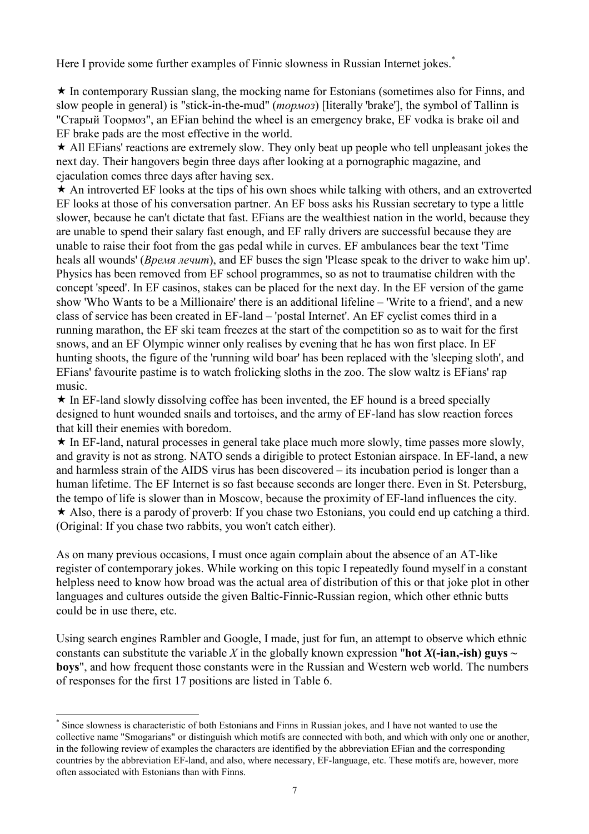Here I provide some further examples of Finnic slowness in Russian Internet jokes.<sup>\*</sup>

 $\star$  In contemporary Russian slang, the mocking name for Estonians (sometimes also for Finns, and slow people in general) is "stick-in-the-mud" (*тормоз*) [literally 'brake'], the symbol of Tallinn is "Старый Тоормоз", an EFian behind the wheel is an emergency brake, EF vodka is brake oil and EF brake pads are the most effective in the world.

 $\star$  All EFians' reactions are extremely slow. They only beat up people who tell unpleasant jokes the next day. Their hangovers begin three days after looking at a pornographic magazine, and ejaculation comes three days after having sex.

 $\star$  An introverted EF looks at the tips of his own shoes while talking with others, and an extroverted EF looks at those of his conversation partner. An EF boss asks his Russian secretary to type a little slower, because he can't dictate that fast. EFians are the wealthiest nation in the world, because they are unable to spend their salary fast enough, and EF rally drivers are successful because they are unable to raise their foot from the gas pedal while in curves. EF ambulances bear the text 'Time heals all wounds' (*Время лечит*), and EF buses the sign 'Please speak to the driver to wake him up'. Physics has been removed from EF school programmes, so as not to traumatise children with the concept 'speed'. In EF casinos, stakes can be placed for the next day. In the EF version of the game show 'Who Wants to be a Millionaire' there is an additional lifeline – 'Write to a friend', and a new class of service has been created in EF-land – 'postal Internet'. An EF cyclist comes third in a running marathon, the EF ski team freezes at the start of the competition so as to wait for the first snows, and an EF Olympic winner only realises by evening that he has won first place. In EF hunting shoots, the figure of the 'running wild boar' has been replaced with the 'sleeping sloth', and EFians' favourite pastime is to watch frolicking sloths in the zoo. The slow waltz is EFians' rap music.

 $\star$  In EF-land slowly dissolving coffee has been invented, the EF hound is a breed specially designed to hunt wounded snails and tortoises, and the army of EF-land has slow reaction forces that kill their enemies with boredom.

 $\star$  In EF-land, natural processes in general take place much more slowly, time passes more slowly, and gravity is not as strong. NATO sends a dirigible to protect Estonian airspace. In EF-land, a new and harmless strain of the AIDS virus has been discovered – its incubation period is longer than a human lifetime. The EF Internet is so fast because seconds are longer there. Even in St. Petersburg, the tempo of life is slower than in Moscow, because the proximity of EF-land influences the city. Also, there is a parody of proverb: If you chase two Estonians, you could end up catching a third. (Original: If you chase two rabbits, you won't catch either).

As on many previous occasions, I must once again complain about the absence of an AT-like register of contemporary jokes. While working on this topic I repeatedly found myself in a constant helpless need to know how broad was the actual area of distribution of this or that joke plot in other languages and cultures outside the given Baltic-Finnic-Russian region, which other ethnic butts could be in use there, etc.

Using search engines Rambler and Google, I made, just for fun, an attempt to observe which ethnic constants can substitute the variable X in the globally known expression "**hot X(-ian,-ish) guys**  $\sim$ boys", and how frequent those constants were in the Russian and Western web world. The numbers of responses for the first 17 positions are listed in Table 6.

 $\overline{a}$ 

<sup>\*</sup> Since slowness is characteristic of both Estonians and Finns in Russian jokes, and I have not wanted to use the collective name "Smogarians" or distinguish which motifs are connected with both, and which with only one or another, in the following review of examples the characters are identified by the abbreviation EFian and the corresponding countries by the abbreviation EF-land, and also, where necessary, EF-language, etc. These motifs are, however, more often associated with Estonians than with Finns.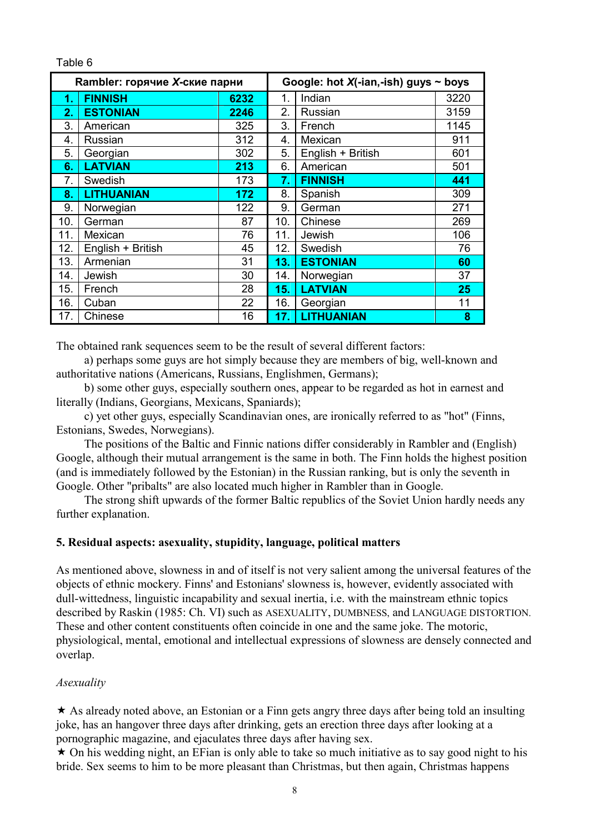### Table 6

|     | Rambler: горячие X-ские парни |      |     | Google: hot $X$ (-ian,-ish) guys $\sim$ boys |      |
|-----|-------------------------------|------|-----|----------------------------------------------|------|
| 1.  | <b>FINNISH</b>                | 6232 | 1.  | Indian                                       | 3220 |
| 2.  | <b>ESTONIAN</b>               | 2246 | 2.  | Russian                                      | 3159 |
| 3.  | American                      | 325  | 3.  | French                                       | 1145 |
| 4.  | Russian                       | 312  | 4.  | Mexican                                      | 911  |
| 5.  | Georgian                      | 302  | 5.  | English + British                            | 601  |
| 6.  | <b>LATVIAN</b>                | 213  | 6.  | American                                     | 501  |
| 7.  | Swedish                       | 173  | 7.  | <b>FINNISH</b>                               | 441  |
| 8.  | <b>LITHUANIAN</b>             | 172  | 8.  | Spanish                                      | 309  |
| 9.  | Norwegian                     | 122  | 9.  | German                                       | 271  |
| 10. | German                        | 87   | 10. | Chinese                                      | 269  |
| 11. | Mexican                       | 76   | 11. | Jewish                                       | 106  |
| 12. | English + British             | 45   | 12. | Swedish                                      | 76   |
| 13. | Armenian                      | 31   | 13. | <b>ESTONIAN</b>                              | 60   |
| 14. | Jewish                        | 30   | 14. | Norwegian                                    | 37   |
| 15. | French                        | 28   | 15. | <b>LATVIAN</b>                               | 25   |
| 16. | Cuban                         | 22   | 16. | Georgian                                     | 11   |
| 17. | Chinese                       | 16   | 17. | <b>LITHUANIAN</b>                            | 8    |

The obtained rank sequences seem to be the result of several different factors:

a) perhaps some guys are hot simply because they are members of big, well-known and authoritative nations (Americans, Russians, Englishmen, Germans);

b) some other guys, especially southern ones, appear to be regarded as hot in earnest and literally (Indians, Georgians, Mexicans, Spaniards);

c) yet other guys, especially Scandinavian ones, are ironically referred to as "hot" (Finns, Estonians, Swedes, Norwegians).

The positions of the Baltic and Finnic nations differ considerably in Rambler and (English) Google, although their mutual arrangement is the same in both. The Finn holds the highest position (and is immediately followed by the Estonian) in the Russian ranking, but is only the seventh in Google. Other "pribalts" are also located much higher in Rambler than in Google.

The strong shift upwards of the former Baltic republics of the Soviet Union hardly needs any further explanation.

## 5. Residual aspects: asexuality, stupidity, language, political matters

As mentioned above, slowness in and of itself is not very salient among the universal features of the objects of ethnic mockery. Finns' and Estonians' slowness is, however, evidently associated with dull-wittedness, linguistic incapability and sexual inertia, i.e. with the mainstream ethnic topics described by Raskin (1985: Ch. VI) such as ASEXUALITY, DUMBNESS, and LANGUAGE DISTORTION. These and other content constituents often coincide in one and the same joke. The motoric, physiological, mental, emotional and intellectual expressions of slowness are densely connected and overlap.

## Asexuality

 $\star$  As already noted above, an Estonian or a Finn gets angry three days after being told an insulting joke, has an hangover three days after drinking, gets an erection three days after looking at a pornographic magazine, and ejaculates three days after having sex.

 $\star$  On his wedding night, an EFian is only able to take so much initiative as to say good night to his bride. Sex seems to him to be more pleasant than Christmas, but then again, Christmas happens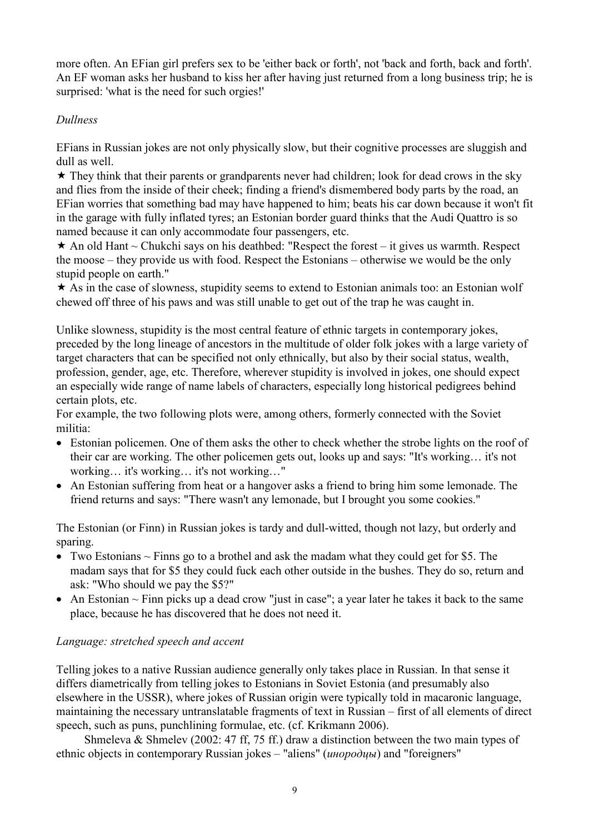more often. An EFian girl prefers sex to be 'either back or forth', not 'back and forth, back and forth'. An EF woman asks her husband to kiss her after having just returned from a long business trip; he is surprised: 'what is the need for such orgies!'

# Dullness

EFians in Russian jokes are not only physically slow, but their cognitive processes are sluggish and dull as well.

 $\star$  They think that their parents or grandparents never had children; look for dead crows in the sky and flies from the inside of their cheek; finding a friend's dismembered body parts by the road, an EFian worries that something bad may have happened to him; beats his car down because it won't fit in the garage with fully inflated tyres; an Estonian border guard thinks that the Audi Quattro is so named because it can only accommodate four passengers, etc.

 $\star$  An old Hant ~ Chukchi says on his deathbed: "Respect the forest – it gives us warmth. Respect the moose – they provide us with food. Respect the Estonians – otherwise we would be the only stupid people on earth."

 $\star$  As in the case of slowness, stupidity seems to extend to Estonian animals too: an Estonian wolf chewed off three of his paws and was still unable to get out of the trap he was caught in.

Unlike slowness, stupidity is the most central feature of ethnic targets in contemporary jokes, preceded by the long lineage of ancestors in the multitude of older folk jokes with a large variety of target characters that can be specified not only ethnically, but also by their social status, wealth, profession, gender, age, etc. Therefore, wherever stupidity is involved in jokes, one should expect an especially wide range of name labels of characters, especially long historical pedigrees behind certain plots, etc.

For example, the two following plots were, among others, formerly connected with the Soviet militia:

- Estonian policemen. One of them asks the other to check whether the strobe lights on the roof of their car are working. The other policemen gets out, looks up and says: "It's working… it's not working… it's working… it's not working…"
- An Estonian suffering from heat or a hangover asks a friend to bring him some lemonade. The friend returns and says: "There wasn't any lemonade, but I brought you some cookies."

The Estonian (or Finn) in Russian jokes is tardy and dull-witted, though not lazy, but orderly and sparing.

- Two Estonians  $\sim$  Finns go to a brothel and ask the madam what they could get for \$5. The madam says that for \$5 they could fuck each other outside in the bushes. They do so, return and ask: "Who should we pay the \$5?"
- An Estonian  $\sim$  Finn picks up a dead crow "just in case"; a year later he takes it back to the same place, because he has discovered that he does not need it.

## Language: stretched speech and accent

Telling jokes to a native Russian audience generally only takes place in Russian. In that sense it differs diametrically from telling jokes to Estonians in Soviet Estonia (and presumably also elsewhere in the USSR), where jokes of Russian origin were typically told in macaronic language, maintaining the necessary untranslatable fragments of text in Russian – first of all elements of direct speech, such as puns, punchlining formulae, etc. (cf. Krikmann 2006).

Shmeleva & Shmelev (2002: 47 ff, 75 ff.) draw a distinction between the two main types of ethnic objects in contemporary Russian jokes – "aliens" (инородцы) and "foreigners"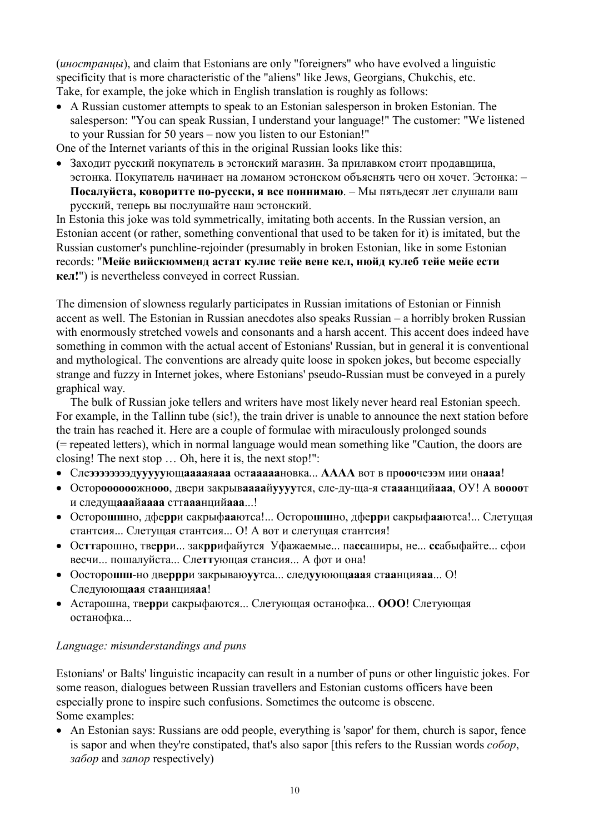(иностранцы), and claim that Estonians are only "foreigners" who have evolved a linguistic specificity that is more characteristic of the "aliens" like Jews, Georgians, Chukchis, etc. Take, for example, the joke which in English translation is roughly as follows:

• A Russian customer attempts to speak to an Estonian salesperson in broken Estonian. The salesperson: "You can speak Russian, I understand your language!" The customer: "We listened to your Russian for 50 years – now you listen to our Estonian!"

One of the Internet variants of this in the original Russian looks like this:

• Заходит русский покупатель в эстонский магазин. За прилавком стоит продавщица, эстонка. Покупатель начинает на ломаном эстонском объяснять чего он хочет. Эстонка: – Посалуйста, коворитте по-русски, я все поннимаю. – Мы пятьдесят лет слушали ваш русский, теперь вы послушайте наш эстонский.

In Estonia this joke was told symmetrically, imitating both accents. In the Russian version, an Estonian accent (or rather, something conventional that used to be taken for it) is imitated, but the Russian customer's punchline-rejoinder (presumably in broken Estonian, like in some Estonian records: "Мейе вийскюмменд астат кулис тейе вене кел, нюйд кулеб тейе мейе ести кел!") is nevertheless conveyed in correct Russian.

The dimension of slowness regularly participates in Russian imitations of Estonian or Finnish accent as well. The Estonian in Russian anecdotes also speaks Russian – a horribly broken Russian with enormously stretched vowels and consonants and a harsh accent. This accent does indeed have something in common with the actual accent of Estonians' Russian, but in general it is conventional and mythological. The conventions are already quite loose in spoken jokes, but become especially strange and fuzzy in Internet jokes, where Estonians' pseudo-Russian must be conveyed in a purely graphical way.

The bulk of Russian joke tellers and writers have most likely never heard real Estonian speech. For example, in the Tallinn tube (sic!), the train driver is unable to announce the next station before the train has reached it. Here are a couple of formulae with miraculously prolonged sounds (= repeated letters), which in normal language would mean something like "Caution, the doors are closing! The next stop … Oh, here it is, the next stop!":

- Слеээээээээдууууующааааяааа остааааановка... АААА вот в прооочеээм иии онааа!
- Остороооооожнооо, двери закрываааайуууутся, сле-ду-ща-я стааанцийааа, ОУ! А воооот и следущааайаааа сттааанцийааа...!
- Осторошшно, дферри сакрыфааютса!... Осторошшно, дферри сакрыфааютса!... Слетущая стантсия... Слетущая стантсия... О! А вот и слетущая стантсия!
- Осттарошно, тверри... закррифайутся Уфажаемые... пассаширы, не... ссабыфайте... сфои весчи... пошалуйста... Слеттующая стансия... А фот и она!
- Оосторошш-но дверрри закрываю у тса... след у уююща аая стаанция аа... О! Следуюющаая стаанцияаа!
- Астарошна, тверри сакрыфаются... Слетующая останофка... ООО! Слетующая останофка...

### Language: misunderstandings and puns

Estonians' or Balts' linguistic incapacity can result in a number of puns or other linguistic jokes. For some reason, dialogues between Russian travellers and Estonian customs officers have been especially prone to inspire such confusions. Sometimes the outcome is obscene. Some examples:

• An Estonian says: Russians are odd people, everything is 'sapor' for them, church is sapor, fence is sapor and when they're constipated, that's also sapor [this refers to the Russian words собор, забор and запор respectively)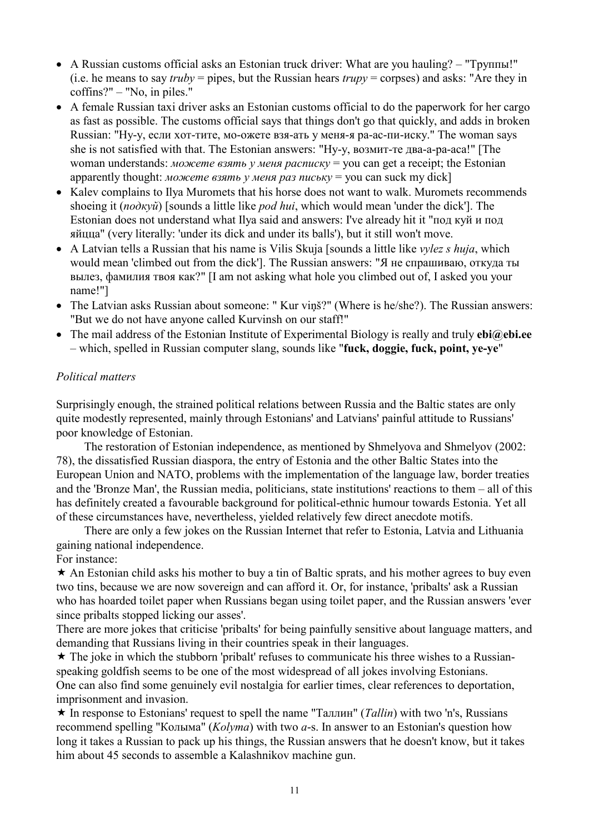- A Russian customs official asks an Estonian truck driver: What are you hauling? "Труппы!" (i.e. he means to say *truby* = pipes, but the Russian hears *trupy* = corpses) and asks: "Are they in coffins?" – "No, in piles."
- A female Russian taxi driver asks an Estonian customs official to do the paperwork for her cargo as fast as possible. The customs official says that things don't go that quickly, and adds in broken Russian: "Ну-у, если хот-тите, мо-ожете взя-ать у меня-я ра-ас-пи-иску." The woman says she is not satisfied with that. The Estonian answers: "Ну-у, возмит-те два-а-ра-аса!" [The woman understands: *можете взять у меня расписку* = you can get a receipt; the Estonian apparently thought: *можете взять у меня раз письку* = you can suck my dick]
- Kalev complains to Ilya Muromets that his horse does not want to walk. Muromets recommends shoeing it (no∂κγũ) [sounds a little like *pod hui*, which would mean 'under the dick']. The Estonian does not understand what Ilya said and answers: I've already hit it "под куй и под яйцца" (very literally: 'under its dick and under its balls'), but it still won't move.
- A Latvian tells a Russian that his name is Vilis Skuja [sounds a little like *vylez s huja*, which would mean 'climbed out from the dick']. The Russian answers: "Я не спрашиваю, откуда ты вылез, фамилия твоя как?" [I am not asking what hole you climbed out of, I asked you your name!"]
- The Latvian asks Russian about someone: " Kur viņš?" (Where is he/she?). The Russian answers: "But we do not have anyone called Kurvinsh on our staff!"
- The mail address of the Estonian Institute of Experimental Biology is really and truly  $ebi@ebi.ee$ – which, spelled in Russian computer slang, sounds like "fuck, doggie, fuck, point, ye-ye"

## Political matters

Surprisingly enough, the strained political relations between Russia and the Baltic states are only quite modestly represented, mainly through Estonians' and Latvians' painful attitude to Russians' poor knowledge of Estonian.

The restoration of Estonian independence, as mentioned by Shmelyova and Shmelyov (2002: 78), the dissatisfied Russian diaspora, the entry of Estonia and the other Baltic States into the European Union and NATO, problems with the implementation of the language law, border treaties and the 'Bronze Man', the Russian media, politicians, state institutions' reactions to them – all of this has definitely created a favourable background for political-ethnic humour towards Estonia. Yet all of these circumstances have, nevertheless, yielded relatively few direct anecdote motifs.

There are only a few jokes on the Russian Internet that refer to Estonia, Latvia and Lithuania gaining national independence.

For instance:

 $\star$  An Estonian child asks his mother to buy a tin of Baltic sprats, and his mother agrees to buy even two tins, because we are now sovereign and can afford it. Or, for instance, 'pribalts' ask a Russian who has hoarded toilet paper when Russians began using toilet paper, and the Russian answers 'ever since pribalts stopped licking our asses'.

There are more jokes that criticise 'pribalts' for being painfully sensitive about language matters, and demanding that Russians living in their countries speak in their languages.

 $\star$  The joke in which the stubborn 'pribalt' refuses to communicate his three wishes to a Russianspeaking goldfish seems to be one of the most widespread of all jokes involving Estonians. One can also find some genuinely evil nostalgia for earlier times, clear references to deportation, imprisonment and invasion.

 $\star$  In response to Estonians' request to spell the name "Таллин" (Tallin) with two 'n's, Russians recommend spelling "Колыма" (Kolyma) with two a-s. In answer to an Estonian's question how long it takes a Russian to pack up his things, the Russian answers that he doesn't know, but it takes him about 45 seconds to assemble a Kalashnikov machine gun.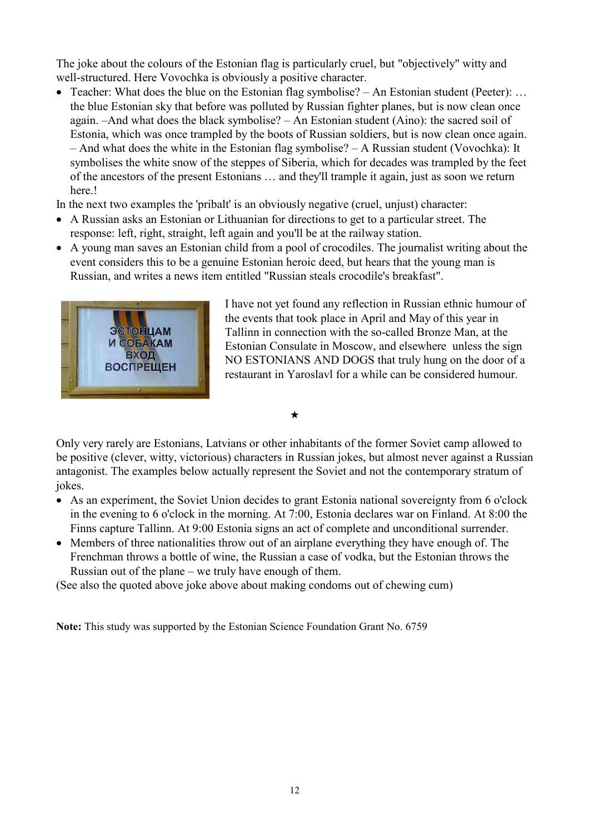The joke about the colours of the Estonian flag is particularly cruel, but "objectively" witty and well-structured. Here Vovochka is obviously a positive character.

- Teacher: What does the blue on the Estonian flag symbolise? An Estonian student (Peeter): ... the blue Estonian sky that before was polluted by Russian fighter planes, but is now clean once again. –And what does the black symbolise? – An Estonian student (Aino): the sacred soil of Estonia, which was once trampled by the boots of Russian soldiers, but is now clean once again. – And what does the white in the Estonian flag symbolise? – A Russian student (Vovochka): It symbolises the white snow of the steppes of Siberia, which for decades was trampled by the feet of the ancestors of the present Estonians … and they'll trample it again, just as soon we return here.!
- In the next two examples the 'pribalt' is an obviously negative (cruel, unjust) character:
- A Russian asks an Estonian or Lithuanian for directions to get to a particular street. The response: left, right, straight, left again and you'll be at the railway station.
- A young man saves an Estonian child from a pool of crocodiles. The journalist writing about the event considers this to be a genuine Estonian heroic deed, but hears that the young man is Russian, and writes a news item entitled "Russian steals crocodile's breakfast".



I have not yet found any reflection in Russian ethnic humour of the events that took place in April and May of this year in Tallinn in connection with the so-called Bronze Man, at the Estonian Consulate in Moscow, and elsewhere unless the sign NO ESTONIANS AND DOGS that truly hung on the door of a restaurant in Yaroslavl for a while can be considered humour.

 $\bigstar$ 

Only very rarely are Estonians, Latvians or other inhabitants of the former Soviet camp allowed to be positive (clever, witty, victorious) characters in Russian jokes, but almost never against a Russian antagonist. The examples below actually represent the Soviet and not the contemporary stratum of jokes.

- As an experiment, the Soviet Union decides to grant Estonia national sovereignty from 6 o'clock in the evening to 6 o'clock in the morning. At 7:00, Estonia declares war on Finland. At 8:00 the Finns capture Tallinn. At 9:00 Estonia signs an act of complete and unconditional surrender.
- Members of three nationalities throw out of an airplane everything they have enough of. The Frenchman throws a bottle of wine, the Russian a case of vodka, but the Estonian throws the Russian out of the plane – we truly have enough of them.

(See also the quoted above joke above about making condoms out of chewing cum)

Note: This study was supported by the Estonian Science Foundation Grant No. 6759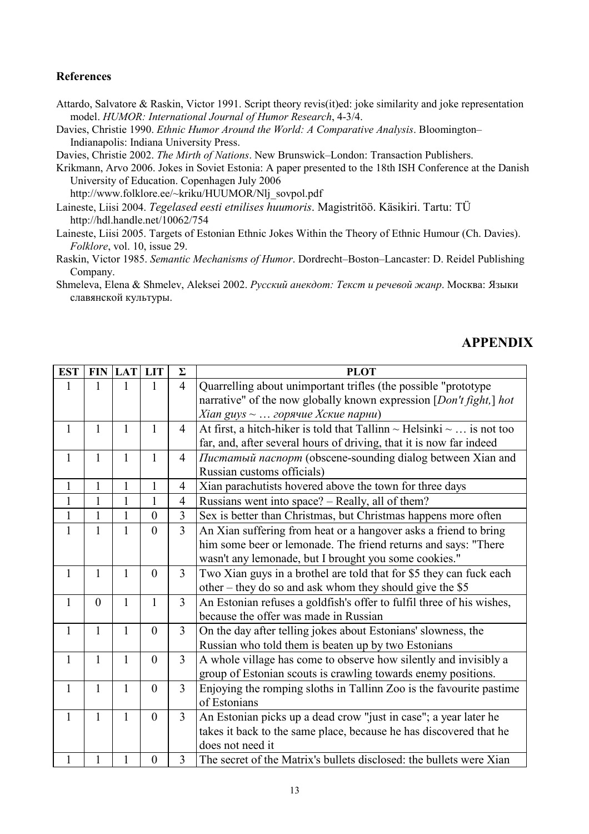#### References

- Attardo, Salvatore & Raskin, Victor 1991. Script theory revis(it)ed: joke similarity and joke representation model. HUMOR: International Journal of Humor Research, 4-3/4.
- Davies, Christie 1990. Ethnic Humor Around the World: A Comparative Analysis. Bloomington– Indianapolis: Indiana University Press.

Davies, Christie 2002. The Mirth of Nations. New Brunswick–London: Transaction Publishers.

Krikmann, Arvo 2006. Jokes in Soviet Estonia: A paper presented to the 18th ISH Conference at the Danish University of Education. Copenhagen July 2006

http://www.folklore.ee/~kriku/HUUMOR/Nlj\_sovpol.pdf

Laineste, Liisi 2004. Tegelased eesti etnilises huumoris. Magistritöö. Käsikiri. Tartu: TÜ http://hdl.handle.net/10062/754

Laineste, Liisi 2005. Targets of Estonian Ethnic Jokes Within the Theory of Ethnic Humour (Ch. Davies). Folklore, vol. 10, issue 29.

Raskin, Victor 1985. Semantic Mechanisms of Humor. Dordrecht–Boston–Lancaster: D. Reidel Publishing Company.

Shmeleva, Elena & Shmelev, Aleksei 2002. Русский анекдот: Текст и речевой жанр. Москва: Языки славянской культуры.

## APPENDIX

| <b>EST</b>   | <b>FIN</b>   | <b>LAT</b>   | <b>LIT</b>       | $\Sigma$       | <b>PLOT</b>                                                                    |
|--------------|--------------|--------------|------------------|----------------|--------------------------------------------------------------------------------|
| 1            |              | 1            | 1                | $\overline{4}$ | Quarrelling about unimportant trifles (the possible "prototype                 |
|              |              |              |                  |                | narrative" of the now globally known expression [Don't fight,] hot             |
|              |              |              |                  |                | <i>Xian guys</i> $\sim \ldots$ горячие <i>Xcкие парни</i> )                    |
| $\mathbf{1}$ | $\mathbf{1}$ | $\mathbf{1}$ | $\mathbf{1}$     | $\overline{4}$ | At first, a hitch-hiker is told that Tallinn $\sim$ Helsinki $\sim$ is not too |
|              |              |              |                  |                | far, and, after several hours of driving, that it is now far indeed            |
| $\mathbf{1}$ | $\mathbf{1}$ | $\mathbf{1}$ | $\mathbf{1}$     | $\overline{4}$ | Пистатый паспорт (obscene-sounding dialog between Xian and                     |
|              |              |              |                  |                | Russian customs officials)                                                     |
| $\mathbf{1}$ | $\mathbf{1}$ | $\mathbf{1}$ | 1                | $\overline{4}$ | Xian parachutists hovered above the town for three days                        |
| $\mathbf{1}$ | $\mathbf{1}$ | $\mathbf{1}$ | $\mathbf{1}$     | $\overline{4}$ | Russians went into space? – Really, all of them?                               |
| $\mathbf{1}$ | $\mathbf{1}$ | $\mathbf{1}$ | $\overline{0}$   | 3              | Sex is better than Christmas, but Christmas happens more often                 |
| $\mathbf{1}$ | $\mathbf{1}$ | $\mathbf{1}$ | $\theta$         | $\overline{3}$ | An Xian suffering from heat or a hangover asks a friend to bring               |
|              |              |              |                  |                | him some beer or lemonade. The friend returns and says: "There                 |
|              |              |              |                  |                | wasn't any lemonade, but I brought you some cookies."                          |
| $\mathbf{1}$ | $\mathbf{1}$ | $\mathbf{1}$ | $\theta$         | $\overline{3}$ | Two Xian guys in a brothel are told that for \$5 they can fuck each            |
|              |              |              |                  |                | other – they do so and ask whom they should give the \$5                       |
| $\mathbf{1}$ | $\mathbf{0}$ | $\mathbf{1}$ | $\mathbf{1}$     | $\overline{3}$ | An Estonian refuses a goldfish's offer to fulfil three of his wishes,          |
|              |              |              |                  |                | because the offer was made in Russian                                          |
| $\mathbf{1}$ | 1            | $\mathbf{1}$ | $\boldsymbol{0}$ | $\overline{3}$ | On the day after telling jokes about Estonians' slowness, the                  |
|              |              |              |                  |                | Russian who told them is beaten up by two Estonians                            |
| $\mathbf{1}$ | $\mathbf{1}$ | $\mathbf{1}$ | $\overline{0}$   | $\overline{3}$ | A whole village has come to observe how silently and invisibly a               |
|              |              |              |                  |                | group of Estonian scouts is crawling towards enemy positions.                  |
| $\mathbf{1}$ | $\mathbf{1}$ | $\mathbf{1}$ | $\boldsymbol{0}$ | $\overline{3}$ | Enjoying the romping sloths in Tallinn Zoo is the favourite pastime            |
|              |              |              |                  |                | of Estonians                                                                   |
| $\mathbf{1}$ | 1            | $\mathbf{1}$ | $\boldsymbol{0}$ | $\overline{3}$ | An Estonian picks up a dead crow "just in case"; a year later he               |
|              |              |              |                  |                | takes it back to the same place, because he has discovered that he             |
|              |              |              |                  |                | does not need it                                                               |
| 1            | 1            | 1            | $\boldsymbol{0}$ | 3              | The secret of the Matrix's bullets disclosed: the bullets were Xian            |